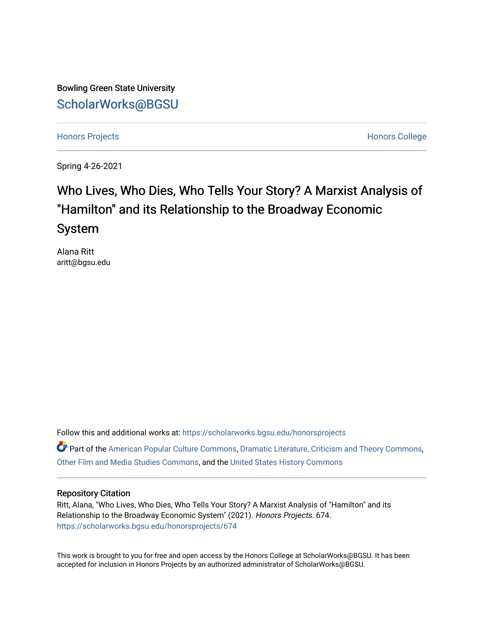Bowling Green State University [ScholarWorks@BGSU](https://scholarworks.bgsu.edu/) 

[Honors Projects](https://scholarworks.bgsu.edu/honorsprojects) **Honors** College **Honors** College **Honors** College

Spring 4-26-2021

# Who Lives, Who Dies, Who Tells Your Story? A Marxist Analysis of "Hamilton" and its Relationship to the Broadway Economic System

Alana Ritt aritt@bgsu.edu

Follow this and additional works at: [https://scholarworks.bgsu.edu/honorsprojects](https://scholarworks.bgsu.edu/honorsprojects?utm_source=scholarworks.bgsu.edu%2Fhonorsprojects%2F674&utm_medium=PDF&utm_campaign=PDFCoverPages) 

Part of the [American Popular Culture Commons,](http://network.bepress.com/hgg/discipline/443?utm_source=scholarworks.bgsu.edu%2Fhonorsprojects%2F674&utm_medium=PDF&utm_campaign=PDFCoverPages) [Dramatic Literature, Criticism and Theory Commons,](http://network.bepress.com/hgg/discipline/555?utm_source=scholarworks.bgsu.edu%2Fhonorsprojects%2F674&utm_medium=PDF&utm_campaign=PDFCoverPages) [Other Film and Media Studies Commons](http://network.bepress.com/hgg/discipline/565?utm_source=scholarworks.bgsu.edu%2Fhonorsprojects%2F674&utm_medium=PDF&utm_campaign=PDFCoverPages), and the [United States History Commons](http://network.bepress.com/hgg/discipline/495?utm_source=scholarworks.bgsu.edu%2Fhonorsprojects%2F674&utm_medium=PDF&utm_campaign=PDFCoverPages) 

## Repository Citation

Ritt, Alana, "Who Lives, Who Dies, Who Tells Your Story? A Marxist Analysis of "Hamilton" and its Relationship to the Broadway Economic System" (2021). Honors Projects. 674. [https://scholarworks.bgsu.edu/honorsprojects/674](https://scholarworks.bgsu.edu/honorsprojects/674?utm_source=scholarworks.bgsu.edu%2Fhonorsprojects%2F674&utm_medium=PDF&utm_campaign=PDFCoverPages) 

This work is brought to you for free and open access by the Honors College at ScholarWorks@BGSU. It has been accepted for inclusion in Honors Projects by an authorized administrator of ScholarWorks@BGSU.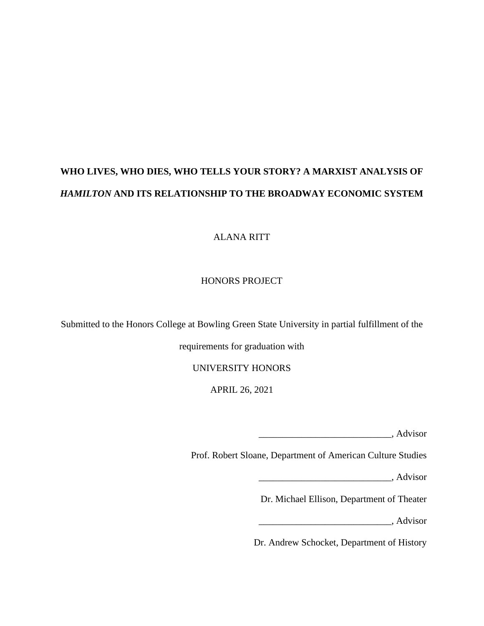# **WHO LIVES, WHO DIES, WHO TELLS YOUR STORY? A MARXIST ANALYSIS OF**  *HAMILTON* **AND ITS RELATIONSHIP TO THE BROADWAY ECONOMIC SYSTEM**

ALANA RITT

# HONORS PROJECT

Submitted to the Honors College at Bowling Green State University in partial fulfillment of the

requirements for graduation with

UNIVERSITY HONORS

APRIL 26, 2021

\_\_\_\_\_\_\_\_\_\_\_\_\_\_\_\_\_\_\_\_\_\_\_\_\_\_\_\_, Advisor

Prof. Robert Sloane, Department of American Culture Studies

\_\_\_\_\_\_\_\_\_\_\_\_\_\_\_\_\_\_\_\_\_\_\_\_\_\_\_\_, Advisor

Dr. Michael Ellison, Department of Theater

\_\_\_\_\_\_\_\_\_\_\_\_\_\_\_\_\_\_\_\_\_\_\_\_\_\_\_\_, Advisor

Dr. Andrew Schocket, Department of History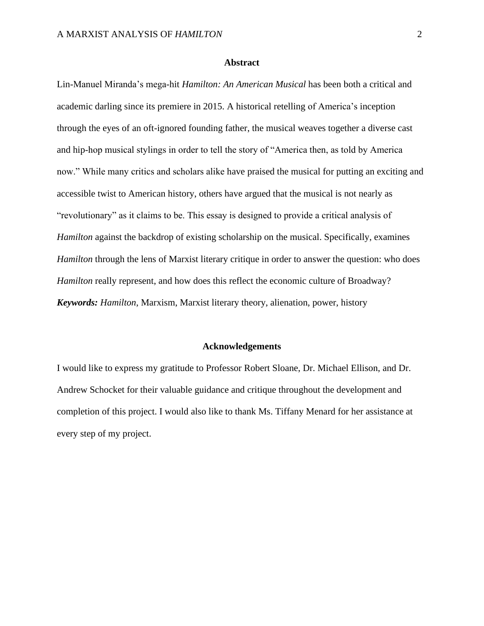## **Abstract**

Lin-Manuel Miranda's mega-hit *Hamilton: An American Musical* has been both a critical and academic darling since its premiere in 2015. A historical retelling of America's inception through the eyes of an oft-ignored founding father, the musical weaves together a diverse cast and hip-hop musical stylings in order to tell the story of "America then, as told by America now." While many critics and scholars alike have praised the musical for putting an exciting and accessible twist to American history, others have argued that the musical is not nearly as "revolutionary" as it claims to be. This essay is designed to provide a critical analysis of *Hamilton* against the backdrop of existing scholarship on the musical. Specifically, examines *Hamilton* through the lens of Marxist literary critique in order to answer the question: who does *Hamilton* really represent, and how does this reflect the economic culture of Broadway? *Keywords: Hamilton*, Marxism, Marxist literary theory, alienation, power, history

#### **Acknowledgements**

I would like to express my gratitude to Professor Robert Sloane, Dr. Michael Ellison, and Dr. Andrew Schocket for their valuable guidance and critique throughout the development and completion of this project. I would also like to thank Ms. Tiffany Menard for her assistance at every step of my project.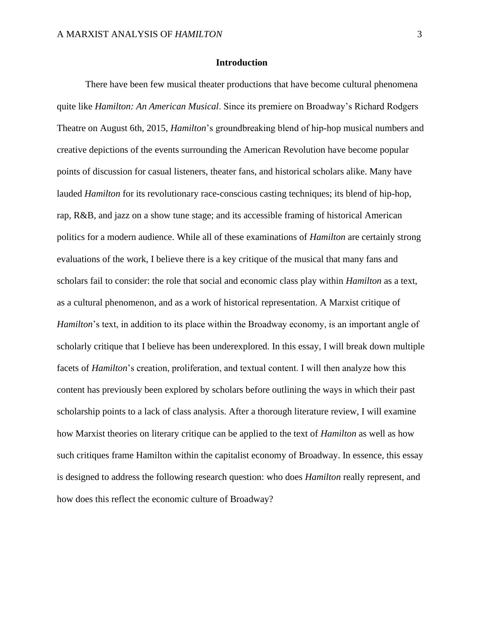#### **Introduction**

There have been few musical theater productions that have become cultural phenomena quite like *Hamilton: An American Musical*. Since its premiere on Broadway's Richard Rodgers Theatre on August 6th, 2015, *Hamilton*'s groundbreaking blend of hip-hop musical numbers and creative depictions of the events surrounding the American Revolution have become popular points of discussion for casual listeners, theater fans, and historical scholars alike. Many have lauded *Hamilton* for its revolutionary race-conscious casting techniques; its blend of hip-hop, rap, R&B, and jazz on a show tune stage; and its accessible framing of historical American politics for a modern audience. While all of these examinations of *Hamilton* are certainly strong evaluations of the work, I believe there is a key critique of the musical that many fans and scholars fail to consider: the role that social and economic class play within *Hamilton* as a text, as a cultural phenomenon, and as a work of historical representation. A Marxist critique of *Hamilton*'s text, in addition to its place within the Broadway economy, is an important angle of scholarly critique that I believe has been underexplored. In this essay, I will break down multiple facets of *Hamilton*'s creation, proliferation, and textual content. I will then analyze how this content has previously been explored by scholars before outlining the ways in which their past scholarship points to a lack of class analysis. After a thorough literature review, I will examine how Marxist theories on literary critique can be applied to the text of *Hamilton* as well as how such critiques frame Hamilton within the capitalist economy of Broadway. In essence, this essay is designed to address the following research question: who does *Hamilton* really represent, and how does this reflect the economic culture of Broadway?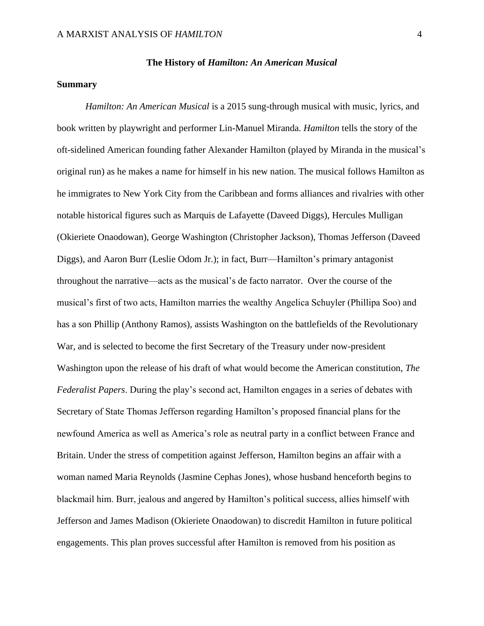#### **The History of** *Hamilton: An American Musical*

## **Summary**

*Hamilton: An American Musical* is a 2015 sung-through musical with music, lyrics, and book written by playwright and performer Lin-Manuel Miranda. *Hamilton* tells the story of the oft-sidelined American founding father Alexander Hamilton (played by Miranda in the musical's original run) as he makes a name for himself in his new nation. The musical follows Hamilton as he immigrates to New York City from the Caribbean and forms alliances and rivalries with other notable historical figures such as Marquis de Lafayette (Daveed Diggs), Hercules Mulligan (Okieriete Onaodowan), George Washington (Christopher Jackson), Thomas Jefferson (Daveed Diggs), and Aaron Burr (Leslie Odom Jr.); in fact, Burr—Hamilton's primary antagonist throughout the narrative—acts as the musical's de facto narrator. Over the course of the musical's first of two acts, Hamilton marries the wealthy Angelica Schuyler (Phillipa Soo) and has a son Phillip (Anthony Ramos), assists Washington on the battlefields of the Revolutionary War, and is selected to become the first Secretary of the Treasury under now-president Washington upon the release of his draft of what would become the American constitution, *The Federalist Papers*. During the play's second act, Hamilton engages in a series of debates with Secretary of State Thomas Jefferson regarding Hamilton's proposed financial plans for the newfound America as well as America's role as neutral party in a conflict between France and Britain. Under the stress of competition against Jefferson, Hamilton begins an affair with a woman named Maria Reynolds (Jasmine Cephas Jones), whose husband henceforth begins to blackmail him. Burr, jealous and angered by Hamilton's political success, allies himself with Jefferson and James Madison (Okieriete Onaodowan) to discredit Hamilton in future political engagements. This plan proves successful after Hamilton is removed from his position as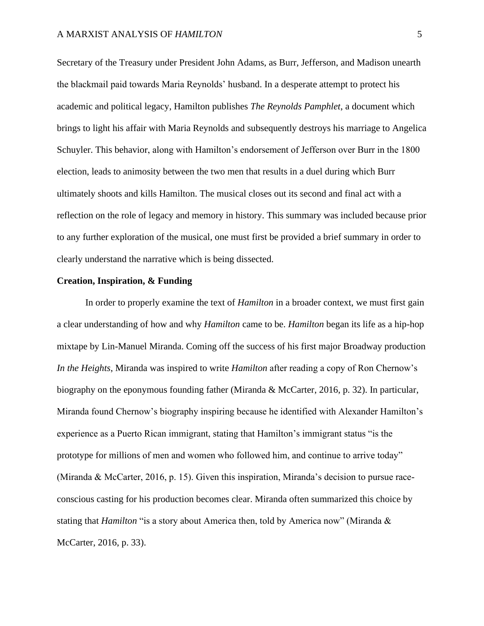Secretary of the Treasury under President John Adams, as Burr, Jefferson, and Madison unearth the blackmail paid towards Maria Reynolds' husband. In a desperate attempt to protect his academic and political legacy, Hamilton publishes *The Reynolds Pamphlet*, a document which brings to light his affair with Maria Reynolds and subsequently destroys his marriage to Angelica Schuyler. This behavior, along with Hamilton's endorsement of Jefferson over Burr in the 1800 election, leads to animosity between the two men that results in a duel during which Burr ultimately shoots and kills Hamilton. The musical closes out its second and final act with a reflection on the role of legacy and memory in history. This summary was included because prior to any further exploration of the musical, one must first be provided a brief summary in order to clearly understand the narrative which is being dissected.

## **Creation, Inspiration, & Funding**

In order to properly examine the text of *Hamilton* in a broader context, we must first gain a clear understanding of how and why *Hamilton* came to be. *Hamilton* began its life as a hip-hop mixtape by Lin-Manuel Miranda. Coming off the success of his first major Broadway production *In the Heights*, Miranda was inspired to write *Hamilton* after reading a copy of Ron Chernow's biography on the eponymous founding father (Miranda & McCarter, 2016, p. 32). In particular, Miranda found Chernow's biography inspiring because he identified with Alexander Hamilton's experience as a Puerto Rican immigrant, stating that Hamilton's immigrant status "is the prototype for millions of men and women who followed him, and continue to arrive today" (Miranda & McCarter, 2016, p. 15). Given this inspiration, Miranda's decision to pursue raceconscious casting for his production becomes clear. Miranda often summarized this choice by stating that *Hamilton* "is a story about America then, told by America now" (Miranda & McCarter, 2016, p. 33).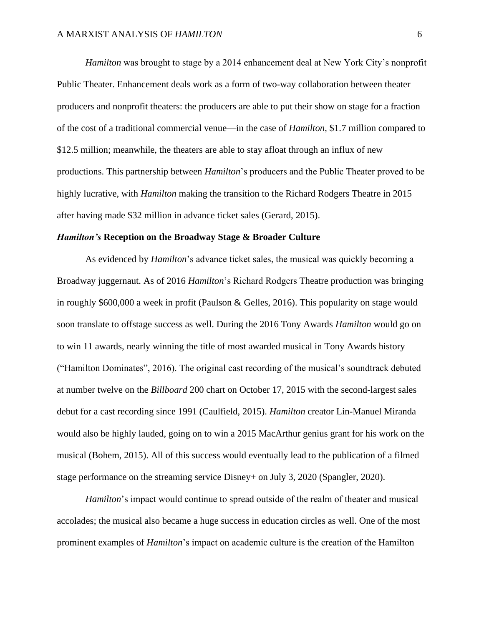*Hamilton* was brought to stage by a 2014 enhancement deal at New York City's nonprofit Public Theater. Enhancement deals work as a form of two-way collaboration between theater producers and nonprofit theaters: the producers are able to put their show on stage for a fraction of the cost of a traditional commercial venue—in the case of *Hamilton*, \$1.7 million compared to \$12.5 million; meanwhile, the theaters are able to stay afloat through an influx of new productions. This partnership between *Hamilton*'s producers and the Public Theater proved to be highly lucrative, with *Hamilton* making the transition to the Richard Rodgers Theatre in 2015 after having made \$32 million in advance ticket sales (Gerard, 2015).

## *Hamilton's* **Reception on the Broadway Stage & Broader Culture**

As evidenced by *Hamilton*'s advance ticket sales, the musical was quickly becoming a Broadway juggernaut. As of 2016 *Hamilton*'s Richard Rodgers Theatre production was bringing in roughly \$600,000 a week in profit (Paulson & Gelles, 2016). This popularity on stage would soon translate to offstage success as well. During the 2016 Tony Awards *Hamilton* would go on to win 11 awards, nearly winning the title of most awarded musical in Tony Awards history ("Hamilton Dominates", 2016). The original cast recording of the musical's soundtrack debuted at number twelve on the *Billboard* 200 chart on October 17, 2015 with the second-largest sales debut for a cast recording since 1991 (Caulfield, 2015). *Hamilton* creator Lin-Manuel Miranda would also be highly lauded, going on to win a 2015 MacArthur genius grant for his work on the musical (Bohem, 2015). All of this success would eventually lead to the publication of a filmed stage performance on the streaming service Disney+ on July 3, 2020 (Spangler, 2020).

*Hamilton*'s impact would continue to spread outside of the realm of theater and musical accolades; the musical also became a huge success in education circles as well. One of the most prominent examples of *Hamilton*'s impact on academic culture is the creation of the Hamilton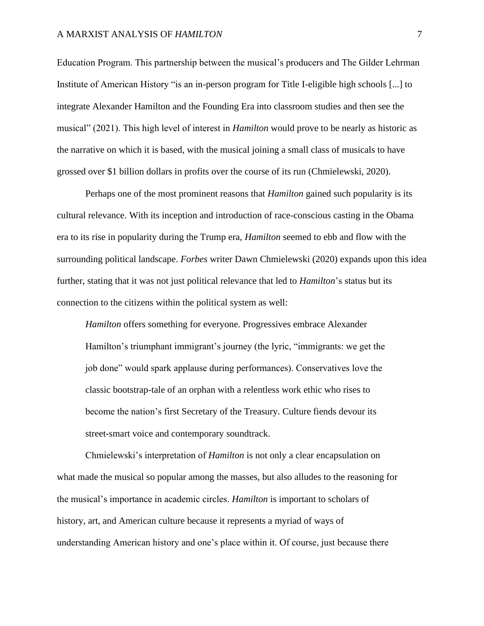## A MARXIST ANALYSIS OF *HAMILTON* 7

Education Program. This partnership between the musical's producers and The Gilder Lehrman Institute of American History "is an in-person program for Title I-eligible high schools [...] to integrate Alexander Hamilton and the Founding Era into classroom studies and then see the musical" (2021). This high level of interest in *Hamilton* would prove to be nearly as historic as the narrative on which it is based, with the musical joining a small class of musicals to have grossed over \$1 billion dollars in profits over the course of its run (Chmielewski, 2020).

Perhaps one of the most prominent reasons that *Hamilton* gained such popularity is its cultural relevance. With its inception and introduction of race-conscious casting in the Obama era to its rise in popularity during the Trump era, *Hamilton* seemed to ebb and flow with the surrounding political landscape. *Forbes* writer Dawn Chmielewski (2020) expands upon this idea further, stating that it was not just political relevance that led to *Hamilton*'s status but its connection to the citizens within the political system as well:

*Hamilton* offers something for everyone. Progressives embrace Alexander Hamilton's triumphant immigrant's journey (the lyric, "immigrants: we get the job done" would spark applause during performances). Conservatives love the classic bootstrap-tale of an orphan with a relentless work ethic who rises to become the nation's first Secretary of the Treasury. Culture fiends devour its street-smart voice and contemporary soundtrack.

Chmielewski's interpretation of *Hamilton* is not only a clear encapsulation on what made the musical so popular among the masses, but also alludes to the reasoning for the musical's importance in academic circles. *Hamilton* is important to scholars of history, art, and American culture because it represents a myriad of ways of understanding American history and one's place within it. Of course, just because there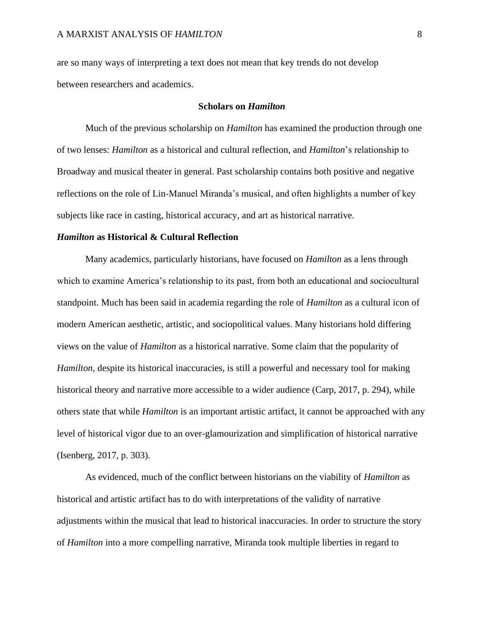are so many ways of interpreting a text does not mean that key trends do not develop between researchers and academics.

#### **Scholars on** *Hamilton*

Much of the previous scholarship on *Hamilton* has examined the production through one of two lenses: *Hamilton* as a historical and cultural reflection, and *Hamilton*'s relationship to Broadway and musical theater in general. Past scholarship contains both positive and negative reflections on the role of Lin-Manuel Miranda's musical, and often highlights a number of key subjects like race in casting, historical accuracy, and art as historical narrative.

#### *Hamilton* **as Historical & Cultural Reflection**

Many academics, particularly historians, have focused on *Hamilton* as a lens through which to examine America's relationship to its past, from both an educational and sociocultural standpoint. Much has been said in academia regarding the role of *Hamilton* as a cultural icon of modern American aesthetic, artistic, and sociopolitical values. Many historians hold differing views on the value of *Hamilton* as a historical narrative. Some claim that the popularity of *Hamilton*, despite its historical inaccuracies, is still a powerful and necessary tool for making historical theory and narrative more accessible to a wider audience (Carp, 2017, p. 294), while others state that while *Hamilton* is an important artistic artifact, it cannot be approached with any level of historical vigor due to an over-glamourization and simplification of historical narrative (Isenberg, 2017, p. 303).

As evidenced, much of the conflict between historians on the viability of *Hamilton* as historical and artistic artifact has to do with interpretations of the validity of narrative adjustments within the musical that lead to historical inaccuracies. In order to structure the story of *Hamilton* into a more compelling narrative, Miranda took multiple liberties in regard to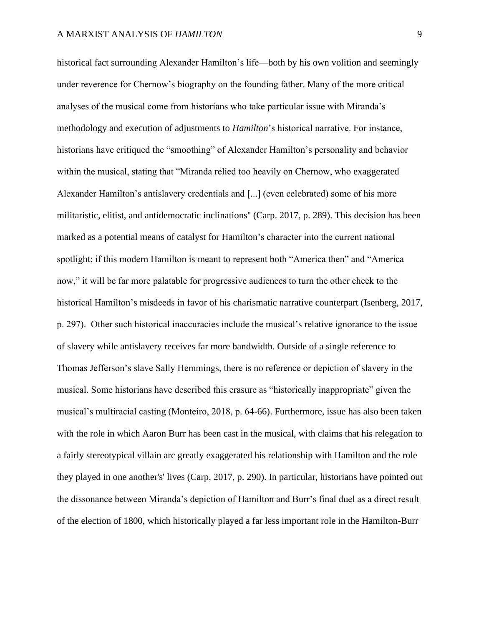historical fact surrounding Alexander Hamilton's life—both by his own volition and seemingly under reverence for Chernow's biography on the founding father. Many of the more critical analyses of the musical come from historians who take particular issue with Miranda's methodology and execution of adjustments to *Hamilton*'s historical narrative. For instance, historians have critiqued the "smoothing" of Alexander Hamilton's personality and behavior within the musical, stating that "Miranda relied too heavily on Chernow, who exaggerated Alexander Hamilton's antislavery credentials and [...] (even celebrated) some of his more militaristic, elitist, and antidemocratic inclinations'' (Carp. 2017, p. 289). This decision has been marked as a potential means of catalyst for Hamilton's character into the current national spotlight; if this modern Hamilton is meant to represent both "America then" and "America now," it will be far more palatable for progressive audiences to turn the other cheek to the historical Hamilton's misdeeds in favor of his charismatic narrative counterpart (Isenberg, 2017, p. 297). Other such historical inaccuracies include the musical's relative ignorance to the issue of slavery while antislavery receives far more bandwidth. Outside of a single reference to Thomas Jefferson's slave Sally Hemmings, there is no reference or depiction of slavery in the musical. Some historians have described this erasure as "historically inappropriate" given the musical's multiracial casting (Monteiro, 2018, p. 64-66). Furthermore, issue has also been taken with the role in which Aaron Burr has been cast in the musical, with claims that his relegation to a fairly stereotypical villain arc greatly exaggerated his relationship with Hamilton and the role they played in one another's' lives (Carp, 2017, p. 290). In particular, historians have pointed out the dissonance between Miranda's depiction of Hamilton and Burr's final duel as a direct result of the election of 1800, which historically played a far less important role in the Hamilton-Burr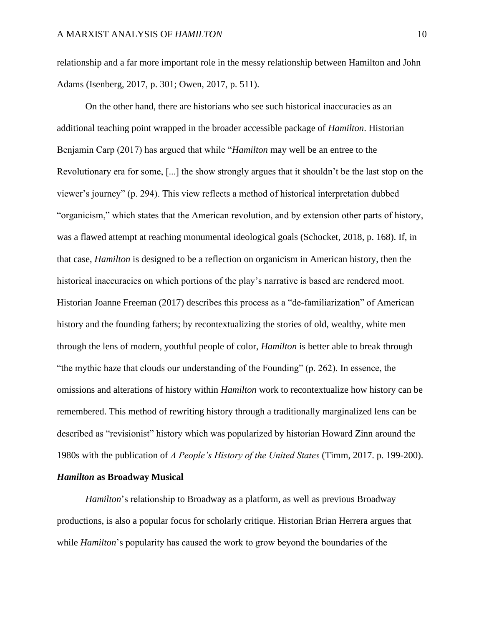relationship and a far more important role in the messy relationship between Hamilton and John Adams (Isenberg, 2017, p. 301; Owen, 2017, p. 511).

On the other hand, there are historians who see such historical inaccuracies as an additional teaching point wrapped in the broader accessible package of *Hamilton*. Historian Benjamin Carp (2017) has argued that while "*Hamilton* may well be an entree to the Revolutionary era for some, [...] the show strongly argues that it shouldn't be the last stop on the viewer's journey" (p. 294). This view reflects a method of historical interpretation dubbed "organicism," which states that the American revolution, and by extension other parts of history, was a flawed attempt at reaching monumental ideological goals (Schocket, 2018, p. 168). If, in that case, *Hamilton* is designed to be a reflection on organicism in American history, then the historical inaccuracies on which portions of the play's narrative is based are rendered moot. Historian Joanne Freeman (2017) describes this process as a "de-familiarization" of American history and the founding fathers; by recontextualizing the stories of old, wealthy, white men through the lens of modern, youthful people of color, *Hamilton* is better able to break through "the mythic haze that clouds our understanding of the Founding" (p. 262). In essence, the omissions and alterations of history within *Hamilton* work to recontextualize how history can be remembered. This method of rewriting history through a traditionally marginalized lens can be described as "revisionist" history which was popularized by historian Howard Zinn around the 1980s with the publication of *A People's History of the United States* (Timm, 2017. p. 199-200).

# *Hamilton* **as Broadway Musical**

*Hamilton*'s relationship to Broadway as a platform, as well as previous Broadway productions, is also a popular focus for scholarly critique. Historian Brian Herrera argues that while *Hamilton*'s popularity has caused the work to grow beyond the boundaries of the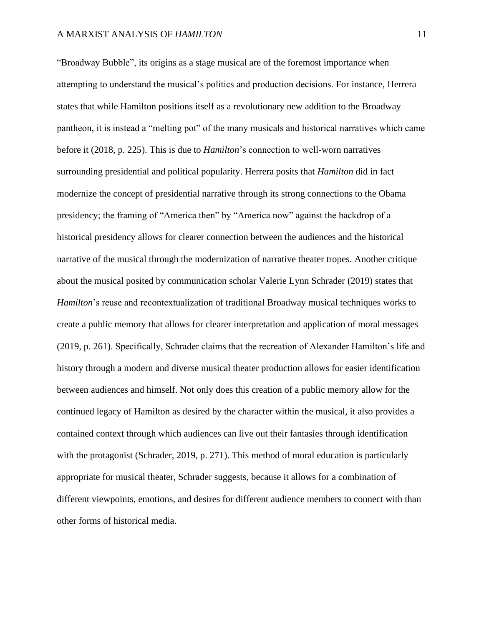"Broadway Bubble", its origins as a stage musical are of the foremost importance when attempting to understand the musical's politics and production decisions. For instance, Herrera states that while Hamilton positions itself as a revolutionary new addition to the Broadway pantheon, it is instead a "melting pot" of the many musicals and historical narratives which came before it (2018, p. 225). This is due to *Hamilton*'s connection to well-worn narratives surrounding presidential and political popularity. Herrera posits that *Hamilton* did in fact modernize the concept of presidential narrative through its strong connections to the Obama presidency; the framing of "America then" by "America now" against the backdrop of a historical presidency allows for clearer connection between the audiences and the historical narrative of the musical through the modernization of narrative theater tropes. Another critique about the musical posited by communication scholar Valerie Lynn Schrader (2019) states that *Hamilton*'s reuse and recontextualization of traditional Broadway musical techniques works to create a public memory that allows for clearer interpretation and application of moral messages (2019, p. 261). Specifically, Schrader claims that the recreation of Alexander Hamilton's life and history through a modern and diverse musical theater production allows for easier identification between audiences and himself. Not only does this creation of a public memory allow for the continued legacy of Hamilton as desired by the character within the musical, it also provides a contained context through which audiences can live out their fantasies through identification with the protagonist (Schrader, 2019, p. 271). This method of moral education is particularly appropriate for musical theater, Schrader suggests, because it allows for a combination of different viewpoints, emotions, and desires for different audience members to connect with than other forms of historical media.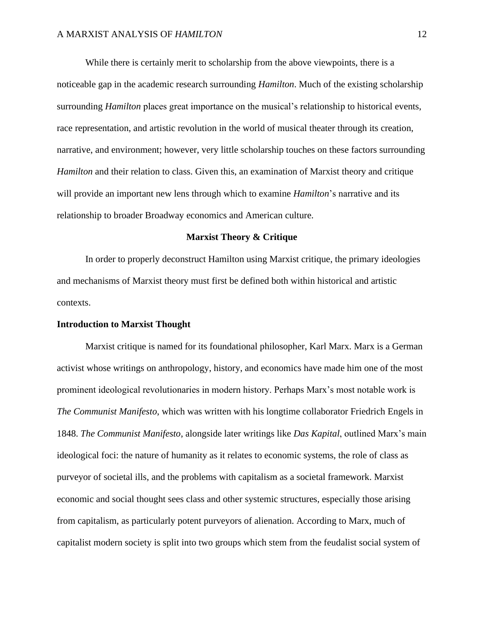While there is certainly merit to scholarship from the above viewpoints, there is a noticeable gap in the academic research surrounding *Hamilton*. Much of the existing scholarship surrounding *Hamilton* places great importance on the musical's relationship to historical events, race representation, and artistic revolution in the world of musical theater through its creation, narrative, and environment; however, very little scholarship touches on these factors surrounding *Hamilton* and their relation to class. Given this, an examination of Marxist theory and critique will provide an important new lens through which to examine *Hamilton*'s narrative and its relationship to broader Broadway economics and American culture.

## **Marxist Theory & Critique**

In order to properly deconstruct Hamilton using Marxist critique, the primary ideologies and mechanisms of Marxist theory must first be defined both within historical and artistic contexts.

#### **Introduction to Marxist Thought**

Marxist critique is named for its foundational philosopher, Karl Marx. Marx is a German activist whose writings on anthropology, history, and economics have made him one of the most prominent ideological revolutionaries in modern history. Perhaps Marx's most notable work is *The Communist Manifesto*, which was written with his longtime collaborator Friedrich Engels in 1848. *The Communist Manifesto*, alongside later writings like *Das Kapital*, outlined Marx's main ideological foci: the nature of humanity as it relates to economic systems, the role of class as purveyor of societal ills, and the problems with capitalism as a societal framework. Marxist economic and social thought sees class and other systemic structures, especially those arising from capitalism, as particularly potent purveyors of alienation. According to Marx, much of capitalist modern society is split into two groups which stem from the feudalist social system of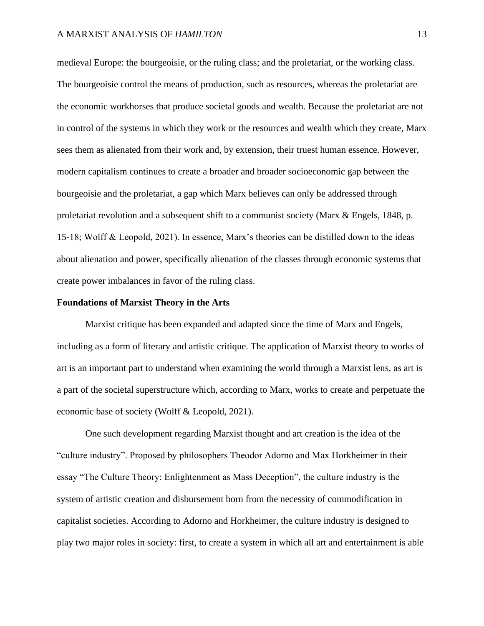medieval Europe: the bourgeoisie, or the ruling class; and the proletariat, or the working class. The bourgeoisie control the means of production, such as resources, whereas the proletariat are the economic workhorses that produce societal goods and wealth. Because the proletariat are not in control of the systems in which they work or the resources and wealth which they create, Marx sees them as alienated from their work and, by extension, their truest human essence. However, modern capitalism continues to create a broader and broader socioeconomic gap between the bourgeoisie and the proletariat, a gap which Marx believes can only be addressed through proletariat revolution and a subsequent shift to a communist society (Marx & Engels, 1848, p. 15-18; Wolff & Leopold, 2021). In essence, Marx's theories can be distilled down to the ideas about alienation and power, specifically alienation of the classes through economic systems that create power imbalances in favor of the ruling class.

### **Foundations of Marxist Theory in the Arts**

Marxist critique has been expanded and adapted since the time of Marx and Engels, including as a form of literary and artistic critique. The application of Marxist theory to works of art is an important part to understand when examining the world through a Marxist lens, as art is a part of the societal superstructure which, according to Marx, works to create and perpetuate the economic base of society (Wolff & Leopold, 2021).

One such development regarding Marxist thought and art creation is the idea of the "culture industry". Proposed by philosophers Theodor Adorno and Max Horkheimer in their essay "The Culture Theory: Enlightenment as Mass Deception", the culture industry is the system of artistic creation and disbursement born from the necessity of commodification in capitalist societies. According to Adorno and Horkheimer, the culture industry is designed to play two major roles in society: first, to create a system in which all art and entertainment is able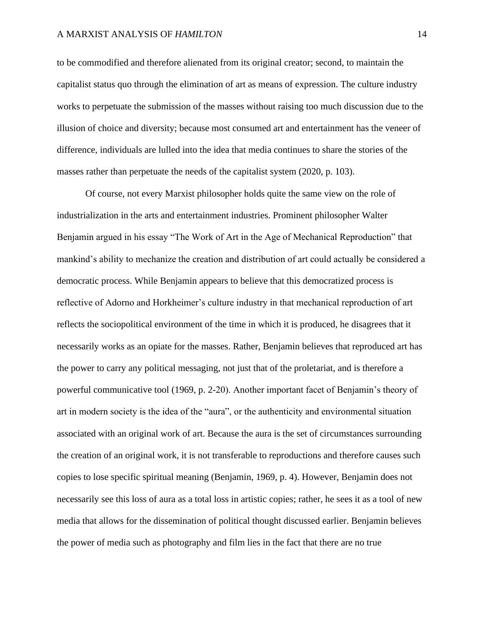## A MARXIST ANALYSIS OF *HAMILTON* 14

to be commodified and therefore alienated from its original creator; second, to maintain the capitalist status quo through the elimination of art as means of expression. The culture industry works to perpetuate the submission of the masses without raising too much discussion due to the illusion of choice and diversity; because most consumed art and entertainment has the veneer of difference, individuals are lulled into the idea that media continues to share the stories of the masses rather than perpetuate the needs of the capitalist system (2020, p. 103).

Of course, not every Marxist philosopher holds quite the same view on the role of industrialization in the arts and entertainment industries. Prominent philosopher Walter Benjamin argued in his essay "The Work of Art in the Age of Mechanical Reproduction" that mankind's ability to mechanize the creation and distribution of art could actually be considered a democratic process. While Benjamin appears to believe that this democratized process is reflective of Adorno and Horkheimer's culture industry in that mechanical reproduction of art reflects the sociopolitical environment of the time in which it is produced, he disagrees that it necessarily works as an opiate for the masses. Rather, Benjamin believes that reproduced art has the power to carry any political messaging, not just that of the proletariat, and is therefore a powerful communicative tool (1969, p. 2-20). Another important facet of Benjamin's theory of art in modern society is the idea of the "aura", or the authenticity and environmental situation associated with an original work of art. Because the aura is the set of circumstances surrounding the creation of an original work, it is not transferable to reproductions and therefore causes such copies to lose specific spiritual meaning (Benjamin, 1969, p. 4). However, Benjamin does not necessarily see this loss of aura as a total loss in artistic copies; rather, he sees it as a tool of new media that allows for the dissemination of political thought discussed earlier. Benjamin believes the power of media such as photography and film lies in the fact that there are no true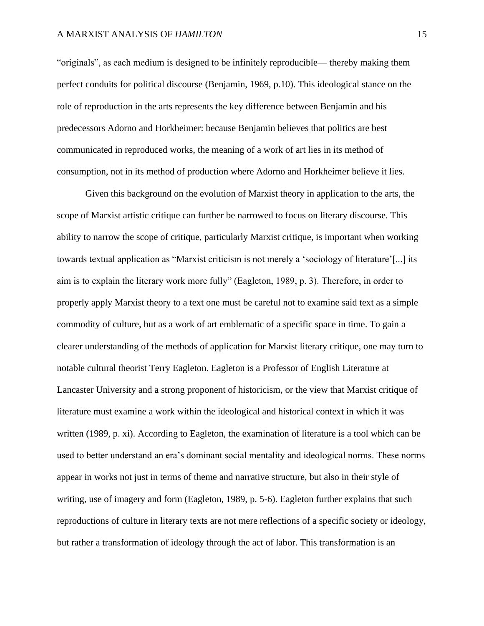"originals", as each medium is designed to be infinitely reproducible— thereby making them perfect conduits for political discourse (Benjamin, 1969, p.10). This ideological stance on the role of reproduction in the arts represents the key difference between Benjamin and his predecessors Adorno and Horkheimer: because Benjamin believes that politics are best communicated in reproduced works, the meaning of a work of art lies in its method of consumption, not in its method of production where Adorno and Horkheimer believe it lies.

Given this background on the evolution of Marxist theory in application to the arts, the scope of Marxist artistic critique can further be narrowed to focus on literary discourse. This ability to narrow the scope of critique, particularly Marxist critique, is important when working towards textual application as "Marxist criticism is not merely a 'sociology of literature'[...] its aim is to explain the literary work more fully" (Eagleton, 1989, p. 3). Therefore, in order to properly apply Marxist theory to a text one must be careful not to examine said text as a simple commodity of culture, but as a work of art emblematic of a specific space in time. To gain a clearer understanding of the methods of application for Marxist literary critique, one may turn to notable cultural theorist Terry Eagleton. Eagleton is a Professor of English Literature at Lancaster University and a strong proponent of historicism, or the view that Marxist critique of literature must examine a work within the ideological and historical context in which it was written (1989, p. xi). According to Eagleton, the examination of literature is a tool which can be used to better understand an era's dominant social mentality and ideological norms. These norms appear in works not just in terms of theme and narrative structure, but also in their style of writing, use of imagery and form (Eagleton, 1989, p. 5-6). Eagleton further explains that such reproductions of culture in literary texts are not mere reflections of a specific society or ideology, but rather a transformation of ideology through the act of labor. This transformation is an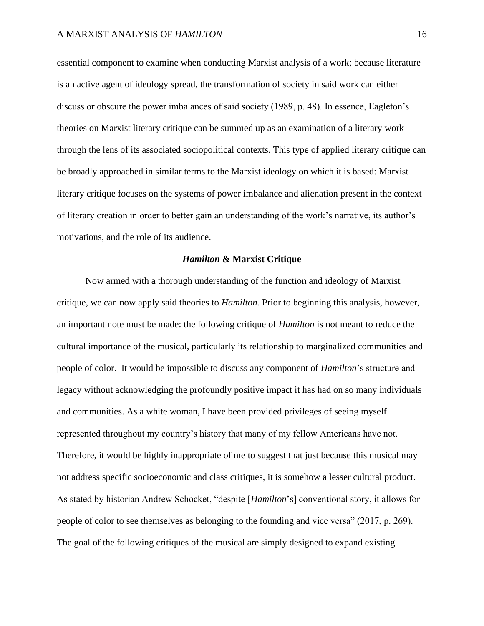essential component to examine when conducting Marxist analysis of a work; because literature is an active agent of ideology spread, the transformation of society in said work can either discuss or obscure the power imbalances of said society (1989, p. 48). In essence, Eagleton's theories on Marxist literary critique can be summed up as an examination of a literary work through the lens of its associated sociopolitical contexts. This type of applied literary critique can be broadly approached in similar terms to the Marxist ideology on which it is based: Marxist literary critique focuses on the systems of power imbalance and alienation present in the context of literary creation in order to better gain an understanding of the work's narrative, its author's motivations, and the role of its audience.

#### *Hamilton* **& Marxist Critique**

Now armed with a thorough understanding of the function and ideology of Marxist critique, we can now apply said theories to *Hamilton.* Prior to beginning this analysis, however, an important note must be made: the following critique of *Hamilton* is not meant to reduce the cultural importance of the musical, particularly its relationship to marginalized communities and people of color. It would be impossible to discuss any component of *Hamilton*'s structure and legacy without acknowledging the profoundly positive impact it has had on so many individuals and communities. As a white woman, I have been provided privileges of seeing myself represented throughout my country's history that many of my fellow Americans have not. Therefore, it would be highly inappropriate of me to suggest that just because this musical may not address specific socioeconomic and class critiques, it is somehow a lesser cultural product. As stated by historian Andrew Schocket, "despite [*Hamilton*'s] conventional story, it allows for people of color to see themselves as belonging to the founding and vice versa" (2017, p. 269). The goal of the following critiques of the musical are simply designed to expand existing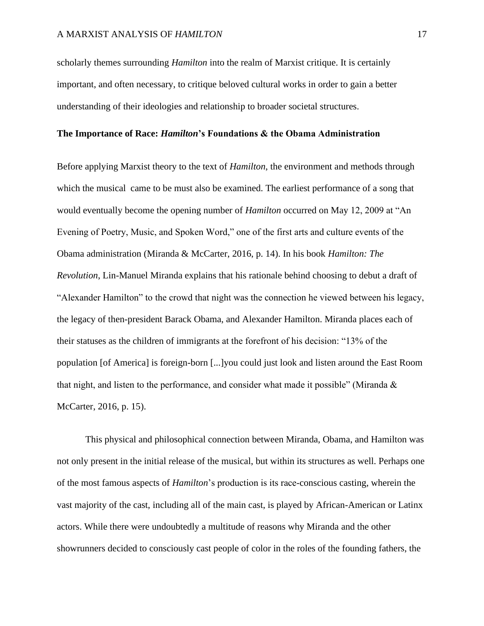scholarly themes surrounding *Hamilton* into the realm of Marxist critique. It is certainly important, and often necessary, to critique beloved cultural works in order to gain a better understanding of their ideologies and relationship to broader societal structures.

## **The Importance of Race:** *Hamilton***'s Foundations & the Obama Administration**

Before applying Marxist theory to the text of *Hamilton*, the environment and methods through which the musical came to be must also be examined. The earliest performance of a song that would eventually become the opening number of *Hamilton* occurred on May 12, 2009 at "An Evening of Poetry, Music, and Spoken Word," one of the first arts and culture events of the Obama administration (Miranda & McCarter, 2016, p. 14). In his book *Hamilton: The Revolution*, Lin-Manuel Miranda explains that his rationale behind choosing to debut a draft of "Alexander Hamilton" to the crowd that night was the connection he viewed between his legacy, the legacy of then-president Barack Obama, and Alexander Hamilton. Miranda places each of their statuses as the children of immigrants at the forefront of his decision: "13% of the population [of America] is foreign-born [...]you could just look and listen around the East Room that night, and listen to the performance, and consider what made it possible" (Miranda & McCarter, 2016, p. 15).

This physical and philosophical connection between Miranda, Obama, and Hamilton was not only present in the initial release of the musical, but within its structures as well. Perhaps one of the most famous aspects of *Hamilton*'s production is its race-conscious casting, wherein the vast majority of the cast, including all of the main cast, is played by African-American or Latinx actors. While there were undoubtedly a multitude of reasons why Miranda and the other showrunners decided to consciously cast people of color in the roles of the founding fathers, the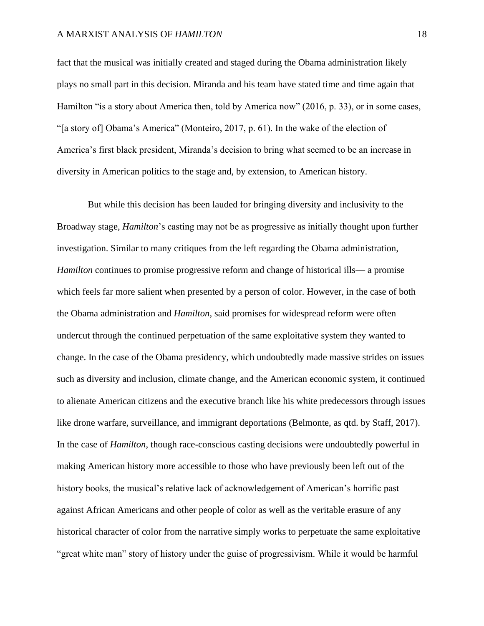## A MARXIST ANALYSIS OF *HAMILTON* 18

fact that the musical was initially created and staged during the Obama administration likely plays no small part in this decision. Miranda and his team have stated time and time again that Hamilton "is a story about America then, told by America now" (2016, p. 33), or in some cases, "[a story of] Obama's America" (Monteiro, 2017, p. 61). In the wake of the election of America's first black president, Miranda's decision to bring what seemed to be an increase in diversity in American politics to the stage and, by extension, to American history.

But while this decision has been lauded for bringing diversity and inclusivity to the Broadway stage, *Hamilton*'s casting may not be as progressive as initially thought upon further investigation. Similar to many critiques from the left regarding the Obama administration, *Hamilton* continues to promise progressive reform and change of historical ills— a promise which feels far more salient when presented by a person of color. However, in the case of both the Obama administration and *Hamilton*, said promises for widespread reform were often undercut through the continued perpetuation of the same exploitative system they wanted to change. In the case of the Obama presidency, which undoubtedly made massive strides on issues such as diversity and inclusion, climate change, and the American economic system, it continued to alienate American citizens and the executive branch like his white predecessors through issues like drone warfare, surveillance, and immigrant deportations (Belmonte, as qtd. by Staff, 2017). In the case of *Hamilton*, though race-conscious casting decisions were undoubtedly powerful in making American history more accessible to those who have previously been left out of the history books, the musical's relative lack of acknowledgement of American's horrific past against African Americans and other people of color as well as the veritable erasure of any historical character of color from the narrative simply works to perpetuate the same exploitative "great white man" story of history under the guise of progressivism. While it would be harmful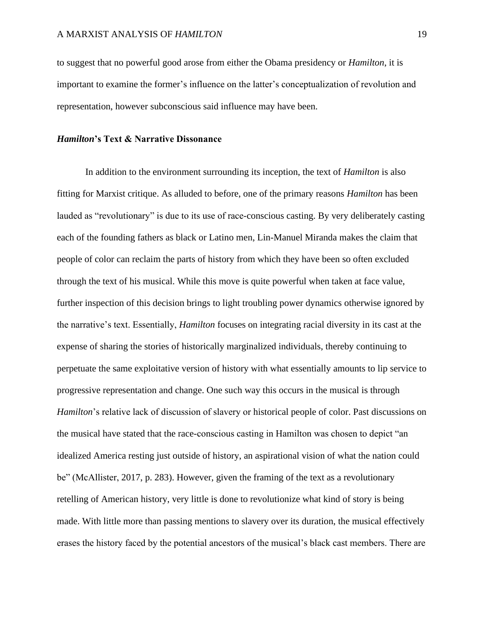to suggest that no powerful good arose from either the Obama presidency or *Hamilton*, it is important to examine the former's influence on the latter's conceptualization of revolution and representation, however subconscious said influence may have been.

## *Hamilton***'s Text & Narrative Dissonance**

In addition to the environment surrounding its inception, the text of *Hamilton* is also fitting for Marxist critique. As alluded to before, one of the primary reasons *Hamilton* has been lauded as "revolutionary" is due to its use of race-conscious casting. By very deliberately casting each of the founding fathers as black or Latino men, Lin-Manuel Miranda makes the claim that people of color can reclaim the parts of history from which they have been so often excluded through the text of his musical. While this move is quite powerful when taken at face value, further inspection of this decision brings to light troubling power dynamics otherwise ignored by the narrative's text. Essentially, *Hamilton* focuses on integrating racial diversity in its cast at the expense of sharing the stories of historically marginalized individuals, thereby continuing to perpetuate the same exploitative version of history with what essentially amounts to lip service to progressive representation and change. One such way this occurs in the musical is through *Hamilton*'s relative lack of discussion of slavery or historical people of color. Past discussions on the musical have stated that the race-conscious casting in Hamilton was chosen to depict "an idealized America resting just outside of history, an aspirational vision of what the nation could be" (McAllister, 2017, p. 283). However, given the framing of the text as a revolutionary retelling of American history, very little is done to revolutionize what kind of story is being made. With little more than passing mentions to slavery over its duration, the musical effectively erases the history faced by the potential ancestors of the musical's black cast members. There are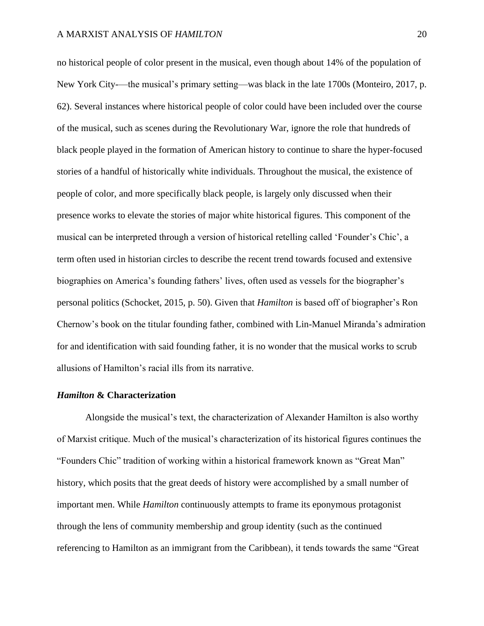no historical people of color present in the musical, even though about 14% of the population of New York City-—the musical's primary setting—was black in the late 1700s (Monteiro, 2017, p. 62). Several instances where historical people of color could have been included over the course of the musical, such as scenes during the Revolutionary War, ignore the role that hundreds of black people played in the formation of American history to continue to share the hyper-focused stories of a handful of historically white individuals. Throughout the musical, the existence of people of color, and more specifically black people, is largely only discussed when their presence works to elevate the stories of major white historical figures. This component of the musical can be interpreted through a version of historical retelling called 'Founder's Chic', a term often used in historian circles to describe the recent trend towards focused and extensive biographies on America's founding fathers' lives, often used as vessels for the biographer's personal politics (Schocket, 2015, p. 50). Given that *Hamilton* is based off of biographer's Ron Chernow's book on the titular founding father, combined with Lin-Manuel Miranda's admiration for and identification with said founding father, it is no wonder that the musical works to scrub allusions of Hamilton's racial ills from its narrative.

#### *Hamilton* **& Characterization**

Alongside the musical's text, the characterization of Alexander Hamilton is also worthy of Marxist critique. Much of the musical's characterization of its historical figures continues the "Founders Chic" tradition of working within a historical framework known as "Great Man" history, which posits that the great deeds of history were accomplished by a small number of important men. While *Hamilton* continuously attempts to frame its eponymous protagonist through the lens of community membership and group identity (such as the continued referencing to Hamilton as an immigrant from the Caribbean), it tends towards the same "Great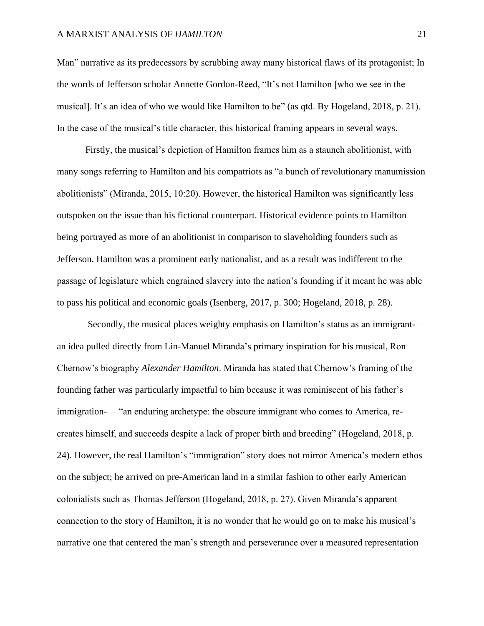## A MARXIST ANALYSIS OF *HAMILTON* 21

Man" narrative as its predecessors by scrubbing away many historical flaws of its protagonist; In the words of Jefferson scholar Annette Gordon-Reed, "It's not Hamilton [who we see in the musical]. It's an idea of who we would like Hamilton to be" (as qtd. By Hogeland, 2018, p. 21). In the case of the musical's title character, this historical framing appears in several ways.

Firstly, the musical's depiction of Hamilton frames him as a staunch abolitionist, with many songs referring to Hamilton and his compatriots as "a bunch of revolutionary manumission abolitionists" (Miranda, 2015, 10:20). However, the historical Hamilton was significantly less outspoken on the issue than his fictional counterpart. Historical evidence points to Hamilton being portrayed as more of an abolitionist in comparison to slaveholding founders such as Jefferson. Hamilton was a prominent early nationalist, and as a result was indifferent to the passage of legislature which engrained slavery into the nation's founding if it meant he was able to pass his political and economic goals (Isenberg, 2017, p. 300; Hogeland, 2018, p. 28).

Secondly, the musical places weighty emphasis on Hamilton's status as an immigrant- an idea pulled directly from Lin-Manuel Miranda's primary inspiration for his musical, Ron Chernow's biography *Alexander Hamilton*. Miranda has stated that Chernow's framing of the founding father was particularly impactful to him because it was reminiscent of his father's immigration-— "an enduring archetype: the obscure immigrant who comes to America, recreates himself, and succeeds despite a lack of proper birth and breeding" (Hogeland, 2018, p. 24). However, the real Hamilton's "immigration" story does not mirror America's modern ethos on the subject; he arrived on pre-American land in a similar fashion to other early American colonialists such as Thomas Jefferson (Hogeland, 2018, p. 27). Given Miranda's apparent connection to the story of Hamilton, it is no wonder that he would go on to make his musical's narrative one that centered the man's strength and perseverance over a measured representation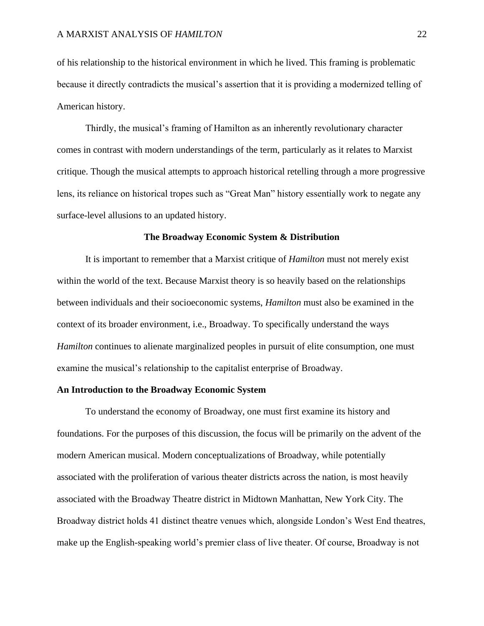of his relationship to the historical environment in which he lived. This framing is problematic because it directly contradicts the musical's assertion that it is providing a modernized telling of American history.

Thirdly, the musical's framing of Hamilton as an inherently revolutionary character comes in contrast with modern understandings of the term, particularly as it relates to Marxist critique. Though the musical attempts to approach historical retelling through a more progressive lens, its reliance on historical tropes such as "Great Man" history essentially work to negate any surface-level allusions to an updated history.

#### **The Broadway Economic System & Distribution**

It is important to remember that a Marxist critique of *Hamilton* must not merely exist within the world of the text. Because Marxist theory is so heavily based on the relationships between individuals and their socioeconomic systems, *Hamilton* must also be examined in the context of its broader environment, i.e., Broadway. To specifically understand the ways *Hamilton* continues to alienate marginalized peoples in pursuit of elite consumption, one must examine the musical's relationship to the capitalist enterprise of Broadway.

## **An Introduction to the Broadway Economic System**

To understand the economy of Broadway, one must first examine its history and foundations. For the purposes of this discussion, the focus will be primarily on the advent of the modern American musical. Modern conceptualizations of Broadway, while potentially associated with the proliferation of various theater districts across the nation, is most heavily associated with the Broadway Theatre district in Midtown Manhattan, New York City. The Broadway district holds 41 distinct theatre venues which, alongside London's West End theatres, make up the English-speaking world's premier class of live theater. Of course, Broadway is not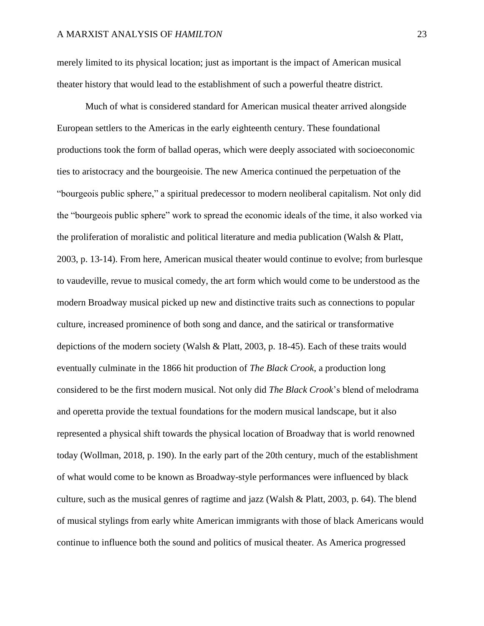merely limited to its physical location; just as important is the impact of American musical theater history that would lead to the establishment of such a powerful theatre district.

Much of what is considered standard for American musical theater arrived alongside European settlers to the Americas in the early eighteenth century. These foundational productions took the form of ballad operas, which were deeply associated with socioeconomic ties to aristocracy and the bourgeoisie. The new America continued the perpetuation of the "bourgeois public sphere," a spiritual predecessor to modern neoliberal capitalism. Not only did the "bourgeois public sphere" work to spread the economic ideals of the time, it also worked via the proliferation of moralistic and political literature and media publication (Walsh & Platt, 2003, p. 13-14). From here, American musical theater would continue to evolve; from burlesque to vaudeville, revue to musical comedy, the art form which would come to be understood as the modern Broadway musical picked up new and distinctive traits such as connections to popular culture, increased prominence of both song and dance, and the satirical or transformative depictions of the modern society (Walsh & Platt, 2003, p. 18-45). Each of these traits would eventually culminate in the 1866 hit production of *The Black Crook*, a production long considered to be the first modern musical. Not only did *The Black Crook*'s blend of melodrama and operetta provide the textual foundations for the modern musical landscape, but it also represented a physical shift towards the physical location of Broadway that is world renowned today (Wollman, 2018, p. 190). In the early part of the 20th century, much of the establishment of what would come to be known as Broadway-style performances were influenced by black culture, such as the musical genres of ragtime and jazz (Walsh & Platt, 2003, p. 64). The blend of musical stylings from early white American immigrants with those of black Americans would continue to influence both the sound and politics of musical theater. As America progressed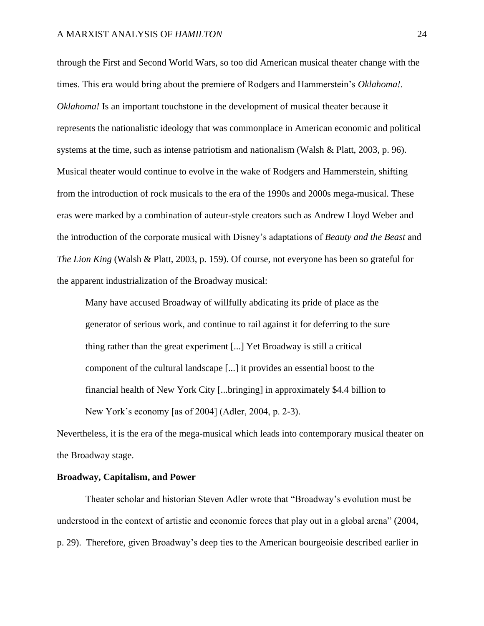through the First and Second World Wars, so too did American musical theater change with the times. This era would bring about the premiere of Rodgers and Hammerstein's *Oklahoma!*. *Oklahoma!* Is an important touchstone in the development of musical theater because it represents the nationalistic ideology that was commonplace in American economic and political systems at the time, such as intense patriotism and nationalism (Walsh & Platt, 2003, p. 96). Musical theater would continue to evolve in the wake of Rodgers and Hammerstein, shifting from the introduction of rock musicals to the era of the 1990s and 2000s mega-musical. These eras were marked by a combination of auteur-style creators such as Andrew Lloyd Weber and the introduction of the corporate musical with Disney's adaptations of *Beauty and the Beast* and *The Lion King* (Walsh & Platt, 2003, p. 159). Of course, not everyone has been so grateful for the apparent industrialization of the Broadway musical:

Many have accused Broadway of willfully abdicating its pride of place as the generator of serious work, and continue to rail against it for deferring to the sure thing rather than the great experiment [...] Yet Broadway is still a critical component of the cultural landscape [...] it provides an essential boost to the financial health of New York City [...bringing] in approximately \$4.4 billion to New York's economy [as of 2004] (Adler, 2004, p. 2-3).

Nevertheless, it is the era of the mega-musical which leads into contemporary musical theater on the Broadway stage.

#### **Broadway, Capitalism, and Power**

Theater scholar and historian Steven Adler wrote that "Broadway's evolution must be understood in the context of artistic and economic forces that play out in a global arena" (2004, p. 29). Therefore, given Broadway's deep ties to the American bourgeoisie described earlier in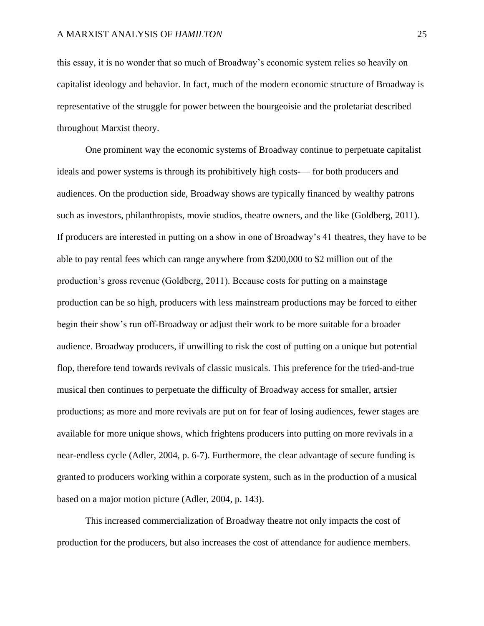this essay, it is no wonder that so much of Broadway's economic system relies so heavily on capitalist ideology and behavior. In fact, much of the modern economic structure of Broadway is representative of the struggle for power between the bourgeoisie and the proletariat described throughout Marxist theory.

One prominent way the economic systems of Broadway continue to perpetuate capitalist ideals and power systems is through its prohibitively high costs-— for both producers and audiences. On the production side, Broadway shows are typically financed by wealthy patrons such as investors, philanthropists, movie studios, theatre owners, and the like (Goldberg, 2011). If producers are interested in putting on a show in one of Broadway's 41 theatres, they have to be able to pay rental fees which can range anywhere from \$200,000 to \$2 million out of the production's gross revenue (Goldberg, 2011). Because costs for putting on a mainstage production can be so high, producers with less mainstream productions may be forced to either begin their show's run off-Broadway or adjust their work to be more suitable for a broader audience. Broadway producers, if unwilling to risk the cost of putting on a unique but potential flop, therefore tend towards revivals of classic musicals. This preference for the tried-and-true musical then continues to perpetuate the difficulty of Broadway access for smaller, artsier productions; as more and more revivals are put on for fear of losing audiences, fewer stages are available for more unique shows, which frightens producers into putting on more revivals in a near-endless cycle (Adler, 2004, p. 6-7). Furthermore, the clear advantage of secure funding is granted to producers working within a corporate system, such as in the production of a musical based on a major motion picture (Adler, 2004, p. 143).

This increased commercialization of Broadway theatre not only impacts the cost of production for the producers, but also increases the cost of attendance for audience members.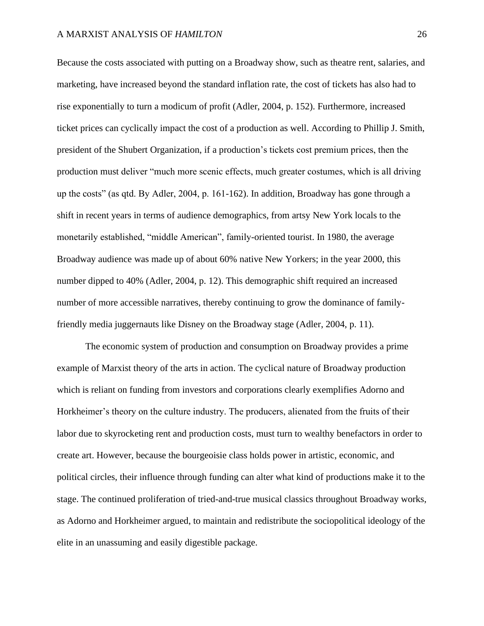Because the costs associated with putting on a Broadway show, such as theatre rent, salaries, and marketing, have increased beyond the standard inflation rate, the cost of tickets has also had to rise exponentially to turn a modicum of profit (Adler, 2004, p. 152). Furthermore, increased ticket prices can cyclically impact the cost of a production as well. According to Phillip J. Smith, president of the Shubert Organization, if a production's tickets cost premium prices, then the production must deliver "much more scenic effects, much greater costumes, which is all driving up the costs" (as qtd. By Adler, 2004, p. 161-162). In addition, Broadway has gone through a shift in recent years in terms of audience demographics, from artsy New York locals to the monetarily established, "middle American", family-oriented tourist. In 1980, the average Broadway audience was made up of about 60% native New Yorkers; in the year 2000, this number dipped to 40% (Adler, 2004, p. 12). This demographic shift required an increased number of more accessible narratives, thereby continuing to grow the dominance of familyfriendly media juggernauts like Disney on the Broadway stage (Adler, 2004, p. 11).

The economic system of production and consumption on Broadway provides a prime example of Marxist theory of the arts in action. The cyclical nature of Broadway production which is reliant on funding from investors and corporations clearly exemplifies Adorno and Horkheimer's theory on the culture industry. The producers, alienated from the fruits of their labor due to skyrocketing rent and production costs, must turn to wealthy benefactors in order to create art. However, because the bourgeoisie class holds power in artistic, economic, and political circles, their influence through funding can alter what kind of productions make it to the stage. The continued proliferation of tried-and-true musical classics throughout Broadway works, as Adorno and Horkheimer argued, to maintain and redistribute the sociopolitical ideology of the elite in an unassuming and easily digestible package.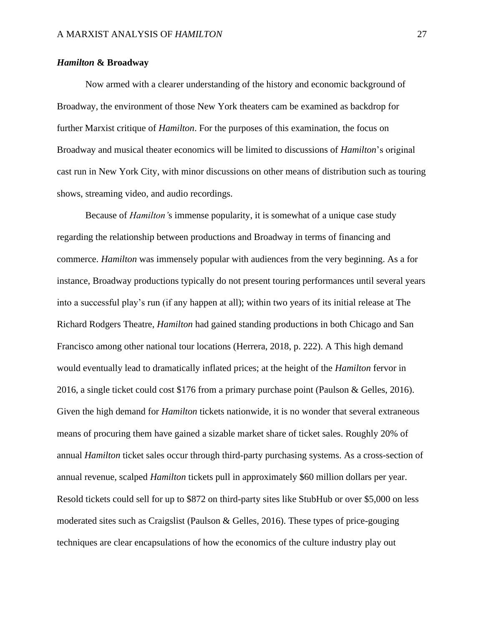## *Hamilton* **& Broadway**

Now armed with a clearer understanding of the history and economic background of Broadway, the environment of those New York theaters cam be examined as backdrop for further Marxist critique of *Hamilton*. For the purposes of this examination, the focus on Broadway and musical theater economics will be limited to discussions of *Hamilton*'s original cast run in New York City, with minor discussions on other means of distribution such as touring shows, streaming video, and audio recordings.

Because of *Hamilton'*s immense popularity, it is somewhat of a unique case study regarding the relationship between productions and Broadway in terms of financing and commerce. *Hamilton* was immensely popular with audiences from the very beginning. As a for instance, Broadway productions typically do not present touring performances until several years into a successful play's run (if any happen at all); within two years of its initial release at The Richard Rodgers Theatre, *Hamilton* had gained standing productions in both Chicago and San Francisco among other national tour locations (Herrera, 2018, p. 222). A This high demand would eventually lead to dramatically inflated prices; at the height of the *Hamilton* fervor in 2016, a single ticket could cost \$176 from a primary purchase point (Paulson & Gelles, 2016). Given the high demand for *Hamilton* tickets nationwide, it is no wonder that several extraneous means of procuring them have gained a sizable market share of ticket sales. Roughly 20% of annual *Hamilton* ticket sales occur through third-party purchasing systems. As a cross-section of annual revenue, scalped *Hamilton* tickets pull in approximately \$60 million dollars per year. Resold tickets could sell for up to \$872 on third-party sites like StubHub or over \$5,000 on less moderated sites such as Craigslist (Paulson & Gelles, 2016). These types of price-gouging techniques are clear encapsulations of how the economics of the culture industry play out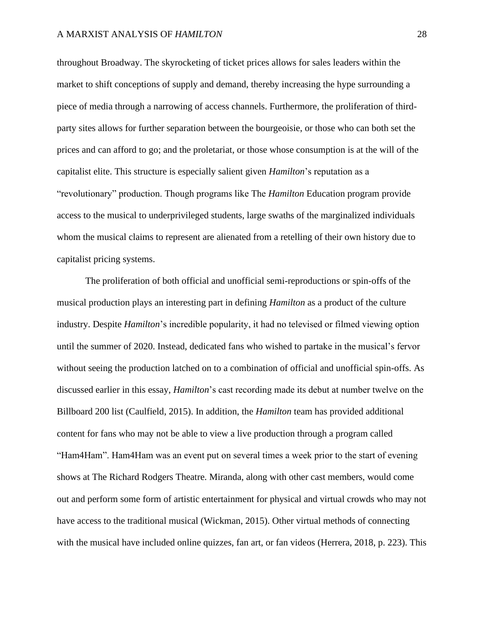throughout Broadway. The skyrocketing of ticket prices allows for sales leaders within the market to shift conceptions of supply and demand, thereby increasing the hype surrounding a piece of media through a narrowing of access channels. Furthermore, the proliferation of thirdparty sites allows for further separation between the bourgeoisie, or those who can both set the prices and can afford to go; and the proletariat, or those whose consumption is at the will of the capitalist elite. This structure is especially salient given *Hamilton*'s reputation as a "revolutionary" production. Though programs like The *Hamilton* Education program provide access to the musical to underprivileged students, large swaths of the marginalized individuals whom the musical claims to represent are alienated from a retelling of their own history due to capitalist pricing systems.

The proliferation of both official and unofficial semi-reproductions or spin-offs of the musical production plays an interesting part in defining *Hamilton* as a product of the culture industry. Despite *Hamilton*'s incredible popularity, it had no televised or filmed viewing option until the summer of 2020. Instead, dedicated fans who wished to partake in the musical's fervor without seeing the production latched on to a combination of official and unofficial spin-offs. As discussed earlier in this essay, *Hamilton*'s cast recording made its debut at number twelve on the Billboard 200 list (Caulfield, 2015). In addition, the *Hamilton* team has provided additional content for fans who may not be able to view a live production through a program called "Ham4Ham". Ham4Ham was an event put on several times a week prior to the start of evening shows at The Richard Rodgers Theatre. Miranda, along with other cast members, would come out and perform some form of artistic entertainment for physical and virtual crowds who may not have access to the traditional musical (Wickman, 2015). Other virtual methods of connecting with the musical have included online quizzes, fan art, or fan videos (Herrera, 2018, p. 223). This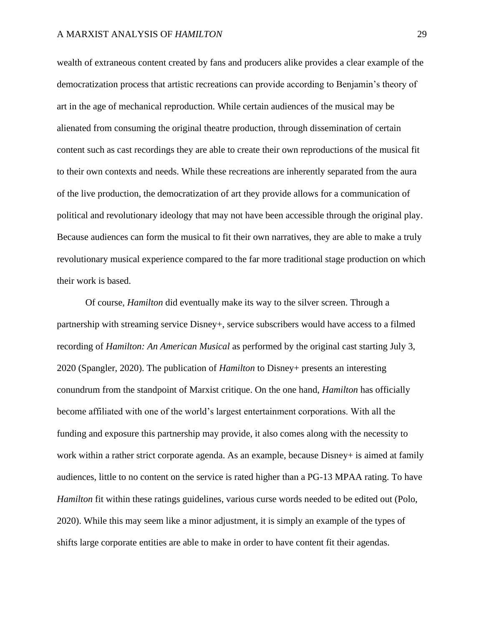wealth of extraneous content created by fans and producers alike provides a clear example of the democratization process that artistic recreations can provide according to Benjamin's theory of art in the age of mechanical reproduction. While certain audiences of the musical may be alienated from consuming the original theatre production, through dissemination of certain content such as cast recordings they are able to create their own reproductions of the musical fit to their own contexts and needs. While these recreations are inherently separated from the aura of the live production, the democratization of art they provide allows for a communication of political and revolutionary ideology that may not have been accessible through the original play. Because audiences can form the musical to fit their own narratives, they are able to make a truly revolutionary musical experience compared to the far more traditional stage production on which their work is based.

Of course, *Hamilton* did eventually make its way to the silver screen. Through a partnership with streaming service Disney+, service subscribers would have access to a filmed recording of *Hamilton: An American Musical* as performed by the original cast starting July 3, 2020 (Spangler, 2020). The publication of *Hamilton* to Disney+ presents an interesting conundrum from the standpoint of Marxist critique. On the one hand, *Hamilton* has officially become affiliated with one of the world's largest entertainment corporations. With all the funding and exposure this partnership may provide, it also comes along with the necessity to work within a rather strict corporate agenda. As an example, because Disney+ is aimed at family audiences, little to no content on the service is rated higher than a PG-13 MPAA rating. To have *Hamilton* fit within these ratings guidelines, various curse words needed to be edited out (Polo, 2020). While this may seem like a minor adjustment, it is simply an example of the types of shifts large corporate entities are able to make in order to have content fit their agendas.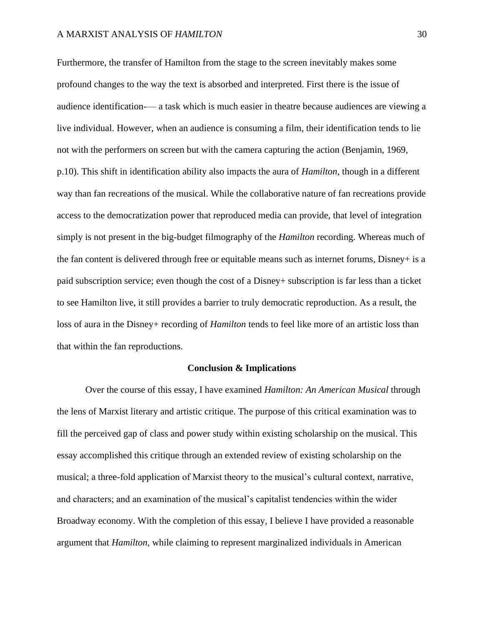Furthermore, the transfer of Hamilton from the stage to the screen inevitably makes some profound changes to the way the text is absorbed and interpreted. First there is the issue of audience identification-— a task which is much easier in theatre because audiences are viewing a live individual. However, when an audience is consuming a film, their identification tends to lie not with the performers on screen but with the camera capturing the action (Benjamin, 1969, p.10). This shift in identification ability also impacts the aura of *Hamilton*, though in a different way than fan recreations of the musical. While the collaborative nature of fan recreations provide access to the democratization power that reproduced media can provide, that level of integration simply is not present in the big-budget filmography of the *Hamilton* recording. Whereas much of the fan content is delivered through free or equitable means such as internet forums, Disney+ is a paid subscription service; even though the cost of a Disney+ subscription is far less than a ticket to see Hamilton live, it still provides a barrier to truly democratic reproduction. As a result, the loss of aura in the Disney+ recording of *Hamilton* tends to feel like more of an artistic loss than that within the fan reproductions.

#### **Conclusion & Implications**

Over the course of this essay, I have examined *Hamilton: An American Musical* through the lens of Marxist literary and artistic critique. The purpose of this critical examination was to fill the perceived gap of class and power study within existing scholarship on the musical. This essay accomplished this critique through an extended review of existing scholarship on the musical; a three-fold application of Marxist theory to the musical's cultural context, narrative, and characters; and an examination of the musical's capitalist tendencies within the wider Broadway economy. With the completion of this essay, I believe I have provided a reasonable argument that *Hamilton*, while claiming to represent marginalized individuals in American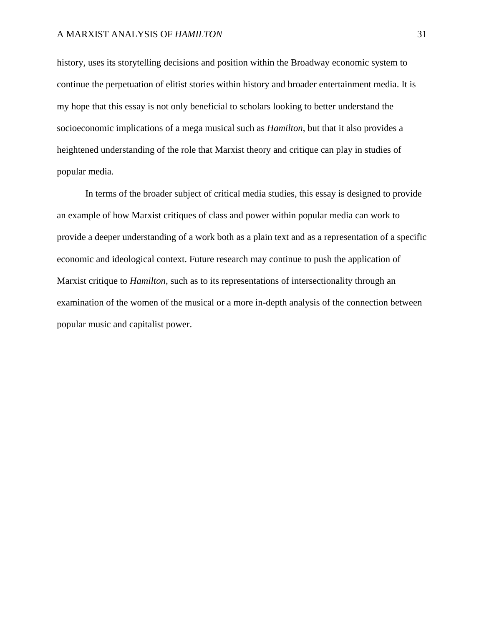## A MARXIST ANALYSIS OF *HAMILTON* 31

history, uses its storytelling decisions and position within the Broadway economic system to continue the perpetuation of elitist stories within history and broader entertainment media. It is my hope that this essay is not only beneficial to scholars looking to better understand the socioeconomic implications of a mega musical such as *Hamilton*, but that it also provides a heightened understanding of the role that Marxist theory and critique can play in studies of popular media.

In terms of the broader subject of critical media studies, this essay is designed to provide an example of how Marxist critiques of class and power within popular media can work to provide a deeper understanding of a work both as a plain text and as a representation of a specific economic and ideological context. Future research may continue to push the application of Marxist critique to *Hamilton*, such as to its representations of intersectionality through an examination of the women of the musical or a more in-depth analysis of the connection between popular music and capitalist power.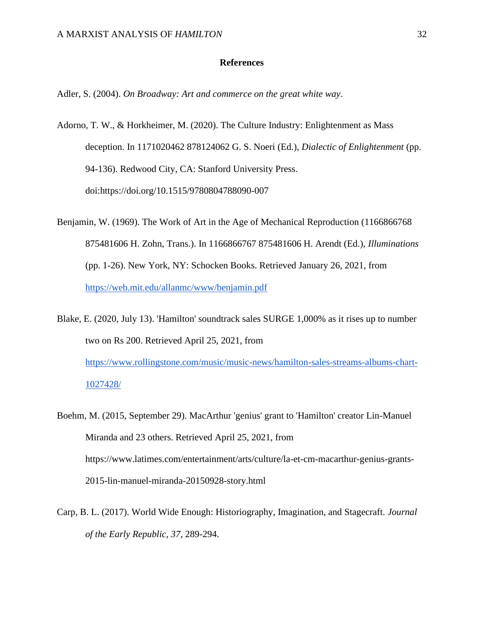## **References**

Adler, S. (2004). *On Broadway: Art and commerce on the great white way*.

- Adorno, T. W., & Horkheimer, M. (2020). The Culture Industry: Enlightenment as Mass deception. In 1171020462 878124062 G. S. Noeri (Ed.), *Dialectic of Enlightenment* (pp. 94-136). Redwood City, CA: Stanford University Press. doi:https://doi.org/10.1515/9780804788090-007
- Benjamin, W. (1969). The Work of Art in the Age of Mechanical Reproduction (1166866768 875481606 H. Zohn, Trans.). In 1166866767 875481606 H. Arendt (Ed.), *Illuminations* (pp. 1-26). New York, NY: Schocken Books. Retrieved January 26, 2021, from <https://web.mit.edu/allanmc/www/benjamin.pdf>
- Blake, E. (2020, July 13). 'Hamilton' soundtrack sales SURGE 1,000% as it rises up to number two on Rs 200. Retrieved April 25, 2021, from [https://www.rollingstone.com/music/music-news/hamilton-sales-streams-albums-chart-](https://www.rollingstone.com/music/music-news/hamilton-sales-streams-albums-chart-1027428/)[1027428/](https://www.rollingstone.com/music/music-news/hamilton-sales-streams-albums-chart-1027428/)
- Boehm, M. (2015, September 29). MacArthur 'genius' grant to 'Hamilton' creator Lin-Manuel Miranda and 23 others. Retrieved April 25, 2021, from https://www.latimes.com/entertainment/arts/culture/la-et-cm-macarthur-genius-grants-2015-lin-manuel-miranda-20150928-story.html
- Carp, B. L. (2017). World Wide Enough: Historiography, Imagination, and Stagecraft. *Journal of the Early Republic, 37*, 289-294.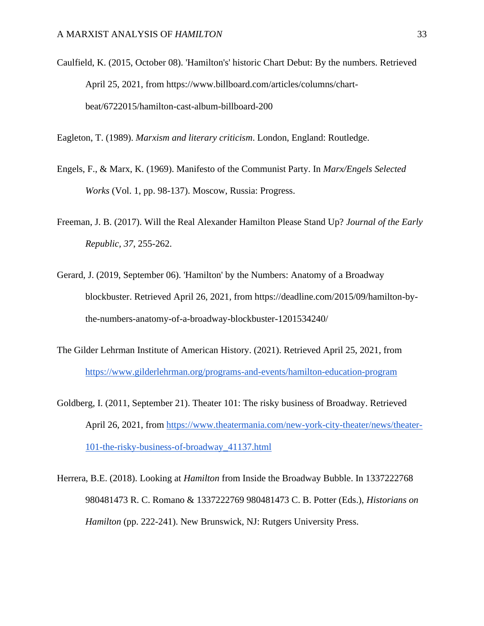Caulfield, K. (2015, October 08). 'Hamilton's' historic Chart Debut: By the numbers. Retrieved April 25, 2021, from https://www.billboard.com/articles/columns/chartbeat/6722015/hamilton-cast-album-billboard-200

Eagleton, T. (1989). *Marxism and literary criticism*. London, England: Routledge.

- Engels, F., & Marx, K. (1969). Manifesto of the Communist Party. In *Marx/Engels Selected Works* (Vol. 1, pp. 98-137). Moscow, Russia: Progress.
- Freeman, J. B. (2017). Will the Real Alexander Hamilton Please Stand Up? *Journal of the Early Republic, 37*, 255-262.
- Gerard, J. (2019, September 06). 'Hamilton' by the Numbers: Anatomy of a Broadway blockbuster. Retrieved April 26, 2021, from https://deadline.com/2015/09/hamilton-bythe-numbers-anatomy-of-a-broadway-blockbuster-1201534240/
- The Gilder Lehrman Institute of American History. (2021). Retrieved April 25, 2021, from <https://www.gilderlehrman.org/programs-and-events/hamilton-education-program>
- Goldberg, I. (2011, September 21). Theater 101: The risky business of Broadway. Retrieved April 26, 2021, from [https://www.theatermania.com/new-york-city-theater/news/theater-](https://www.theatermania.com/new-york-city-theater/news/theater-101-the-risky-business-of-broadway_41137.html)[101-the-risky-business-of-broadway\\_41137.html](https://www.theatermania.com/new-york-city-theater/news/theater-101-the-risky-business-of-broadway_41137.html)

Herrera, B.E. (2018). Looking at *Hamilton* from Inside the Broadway Bubble. In 1337222768 980481473 R. C. Romano & 1337222769 980481473 C. B. Potter (Eds.), *Historians on Hamilton* (pp. 222-241). New Brunswick, NJ: Rutgers University Press.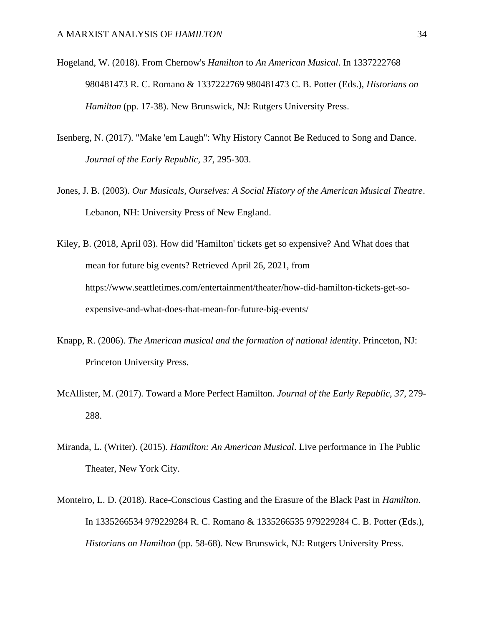- Hogeland, W. (2018). From Chernow's *Hamilton* to *An American Musical*. In 1337222768 980481473 R. C. Romano & 1337222769 980481473 C. B. Potter (Eds.), *Historians on Hamilton* (pp. 17-38). New Brunswick, NJ: Rutgers University Press.
- Isenberg, N. (2017). "Make 'em Laugh": Why History Cannot Be Reduced to Song and Dance. *Journal of the Early Republic, 37*, 295-303.
- Jones, J. B. (2003). *Our Musicals, Ourselves: A Social History of the American Musical Theatre*. Lebanon, NH: University Press of New England.

Kiley, B. (2018, April 03). How did 'Hamilton' tickets get so expensive? And What does that mean for future big events? Retrieved April 26, 2021, from https://www.seattletimes.com/entertainment/theater/how-did-hamilton-tickets-get-soexpensive-and-what-does-that-mean-for-future-big-events/

- Knapp, R. (2006). *The American musical and the formation of national identity*. Princeton, NJ: Princeton University Press.
- McAllister, M. (2017). Toward a More Perfect Hamilton. *Journal of the Early Republic, 37*, 279- 288.
- Miranda, L. (Writer). (2015). *Hamilton: An American Musical*. Live performance in The Public Theater, New York City.
- Monteiro, L. D. (2018). Race-Conscious Casting and the Erasure of the Black Past in *Hamilton*. In 1335266534 979229284 R. C. Romano & 1335266535 979229284 C. B. Potter (Eds.), *Historians on Hamilton* (pp. 58-68). New Brunswick, NJ: Rutgers University Press.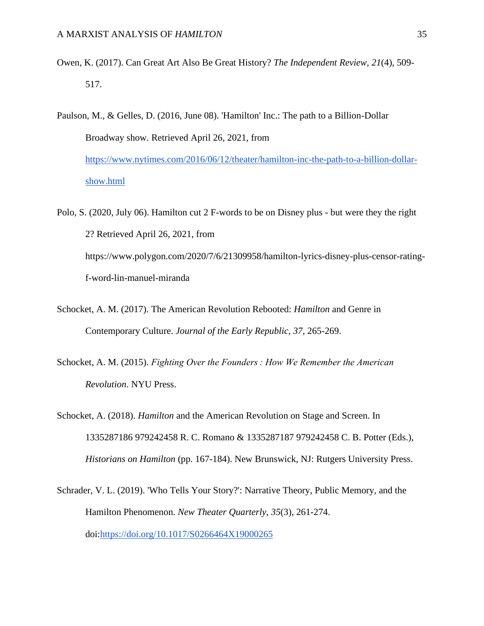- Owen, K. (2017). Can Great Art Also Be Great History? *The Independent Review, 21*(4), 509- 517.
- Paulson, M., & Gelles, D. (2016, June 08). 'Hamilton' Inc.: The path to a Billion-Dollar Broadway show. Retrieved April 26, 2021, from [https://www.nytimes.com/2016/06/12/theater/hamilton-inc-the-path-to-a-billion-dollar](https://www.nytimes.com/2016/06/12/theater/hamilton-inc-the-path-to-a-billion-dollar-show.html)[show.html](https://www.nytimes.com/2016/06/12/theater/hamilton-inc-the-path-to-a-billion-dollar-show.html)
- Polo, S. (2020, July 06). Hamilton cut 2 F-words to be on Disney plus but were they the right 2? Retrieved April 26, 2021, from https://www.polygon.com/2020/7/6/21309958/hamilton-lyrics-disney-plus-censor-ratingf-word-lin-manuel-miranda
- Schocket, A. M. (2017). The American Revolution Rebooted: *Hamilton* and Genre in Contemporary Culture. *Journal of the Early Republic, 37*, 265-269.
- Schocket, A. M. (2015). *Fighting Over the Founders : How We Remember the American Revolution*. NYU Press.
- Schocket, A. (2018). *Hamilton* and the American Revolution on Stage and Screen. In 1335287186 979242458 R. C. Romano & 1335287187 979242458 C. B. Potter (Eds.), *Historians on Hamilton* (pp. 167-184). New Brunswick, NJ: Rutgers University Press.
- Schrader, V. L. (2019). 'Who Tells Your Story?': Narrative Theory, Public Memory, and the Hamilton Phenomenon. *New Theater Quarterly, 35*(3), 261-274. doi[:https://doi.org/10.1017/S0266464X19000265](https://doi.org/10.1017/S0266464X19000265)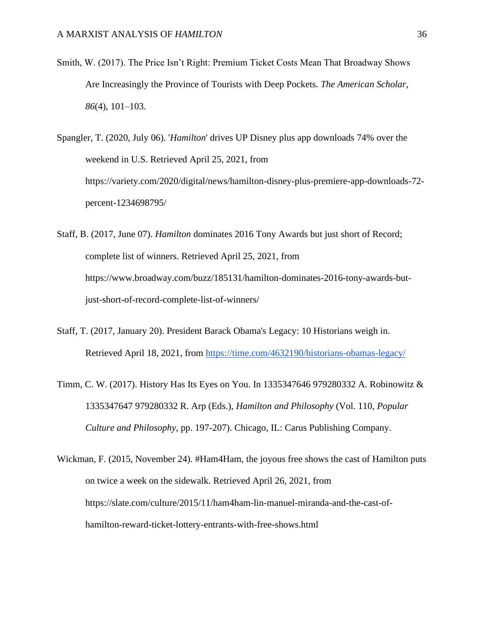Smith, W. (2017). The Price Isn't Right: Premium Ticket Costs Mean That Broadway Shows Are Increasingly the Province of Tourists with Deep Pockets. *The American Scholar*, *86*(4), 101–103.

Spangler, T. (2020, July 06). '*Hamilton*' drives UP Disney plus app downloads 74% over the weekend in U.S. Retrieved April 25, 2021, from https://variety.com/2020/digital/news/hamilton-disney-plus-premiere-app-downloads-72 percent-1234698795/

- Staff, B. (2017, June 07). *Hamilton* dominates 2016 Tony Awards but just short of Record; complete list of winners. Retrieved April 25, 2021, from https://www.broadway.com/buzz/185131/hamilton-dominates-2016-tony-awards-butjust-short-of-record-complete-list-of-winners/
- Staff, T. (2017, January 20). President Barack Obama's Legacy: 10 Historians weigh in. Retrieved April 18, 2021, from<https://time.com/4632190/historians-obamas-legacy/>
- Timm, C. W. (2017). History Has Its Eyes on You. In 1335347646 979280332 A. Robinowitz & 1335347647 979280332 R. Arp (Eds.), *Hamilton and Philosophy* (Vol. 110, *Popular Culture and Philosophy*, pp. 197-207). Chicago, IL: Carus Publishing Company.
- Wickman, F. (2015, November 24). #Ham4Ham, the joyous free shows the cast of Hamilton puts on twice a week on the sidewalk. Retrieved April 26, 2021, from https://slate.com/culture/2015/11/ham4ham-lin-manuel-miranda-and-the-cast-ofhamilton-reward-ticket-lottery-entrants-with-free-shows.html